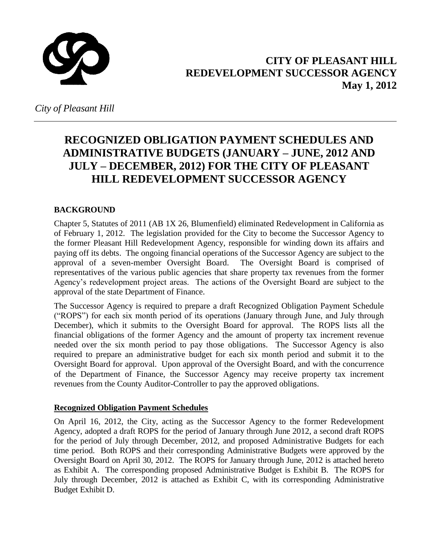

#### **CITY OF PLEASANT HILL REDEVELOPMENT SUCCESSOR AGENCY May 1, 2012**

*City of Pleasant Hill* 

#### **RECOGNIZED OBLIGATION PAYMENT SCHEDULES AND ADMINISTRATIVE BUDGETS (JANUARY – JUNE, 2012 AND JULY – DECEMBER, 2012) FOR THE CITY OF PLEASANT HILL REDEVELOPMENT SUCCESSOR AGENCY**

#### **BACKGROUND**

Chapter 5, Statutes of 2011 (AB 1X 26, Blumenfield) eliminated Redevelopment in California as of February 1, 2012. The legislation provided for the City to become the Successor Agency to the former Pleasant Hill Redevelopment Agency, responsible for winding down its affairs and paying off its debts. The ongoing financial operations of the Successor Agency are subject to the approval of a seven-member Oversight Board. The Oversight Board is comprised of representatives of the various public agencies that share property tax revenues from the former Agency's redevelopment project areas. The actions of the Oversight Board are subject to the approval of the state Department of Finance.

The Successor Agency is required to prepare a draft Recognized Obligation Payment Schedule ("ROPS") for each six month period of its operations (January through June, and July through December), which it submits to the Oversight Board for approval. The ROPS lists all the financial obligations of the former Agency and the amount of property tax increment revenue needed over the six month period to pay those obligations. The Successor Agency is also required to prepare an administrative budget for each six month period and submit it to the Oversight Board for approval. Upon approval of the Oversight Board, and with the concurrence of the Department of Finance, the Successor Agency may receive property tax increment revenues from the County Auditor-Controller to pay the approved obligations.

#### **Recognized Obligation Payment Schedules**

On April 16, 2012, the City, acting as the Successor Agency to the former Redevelopment Agency, adopted a draft ROPS for the period of January through June 2012, a second draft ROPS for the period of July through December, 2012, and proposed Administrative Budgets for each time period. Both ROPS and their corresponding Administrative Budgets were approved by the Oversight Board on April 30, 2012. The ROPS for January through June, 2012 is attached hereto as Exhibit A. The corresponding proposed Administrative Budget is Exhibit B. The ROPS for July through December, 2012 is attached as Exhibit C, with its corresponding Administrative Budget Exhibit D.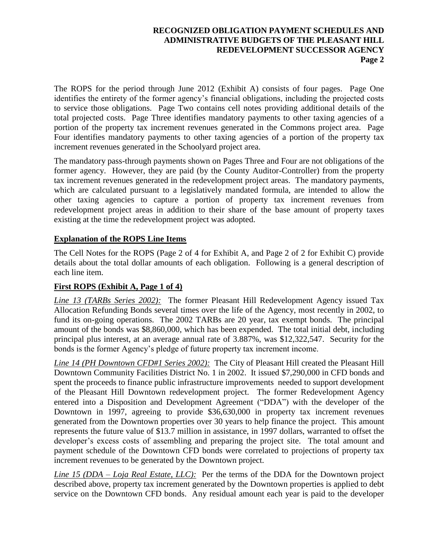The ROPS for the period through June 2012 (Exhibit A) consists of four pages. Page One identifies the entirety of the former agency's financial obligations, including the projected costs to service those obligations. Page Two contains cell notes providing additional details of the total projected costs. Page Three identifies mandatory payments to other taxing agencies of a portion of the property tax increment revenues generated in the Commons project area. Page Four identifies mandatory payments to other taxing agencies of a portion of the property tax increment revenues generated in the Schoolyard project area.

The mandatory pass-through payments shown on Pages Three and Four are not obligations of the former agency. However, they are paid (by the County Auditor-Controller) from the property tax increment revenues generated in the redevelopment project areas. The mandatory payments, which are calculated pursuant to a legislatively mandated formula, are intended to allow the other taxing agencies to capture a portion of property tax increment revenues from redevelopment project areas in addition to their share of the base amount of property taxes existing at the time the redevelopment project was adopted.

#### **Explanation of the ROPS Line Items**

The Cell Notes for the ROPS (Page 2 of 4 for Exhibit A, and Page 2 of 2 for Exhibit C) provide details about the total dollar amounts of each obligation. Following is a general description of each line item.

#### **First ROPS (Exhibit A, Page 1 of 4)**

*Line 13 (TARBs Series 2002):* The former Pleasant Hill Redevelopment Agency issued Tax Allocation Refunding Bonds several times over the life of the Agency, most recently in 2002, to fund its on-going operations. The 2002 TARBs are 20 year, tax exempt bonds. The principal amount of the bonds was \$8,860,000, which has been expended. The total initial debt, including principal plus interest, at an average annual rate of 3.887%, was \$12,322,547. Security for the bonds is the former Agency's pledge of future property tax increment income.

*Line 14 (PH Downtown CFD#1 Series 2002):* The City of Pleasant Hill created the Pleasant Hill Downtown Community Facilities District No. 1 in 2002. It issued \$7,290,000 in CFD bonds and spent the proceeds to finance public infrastructure improvements needed to support development of the Pleasant Hill Downtown redevelopment project. The former Redevelopment Agency entered into a Disposition and Development Agreement ("DDA") with the developer of the Downtown in 1997, agreeing to provide \$36,630,000 in property tax increment revenues generated from the Downtown properties over 30 years to help finance the project. This amount represents the future value of \$13.7 million in assistance, in 1997 dollars, warranted to offset the developer's excess costs of assembling and preparing the project site. The total amount and payment schedule of the Downtown CFD bonds were correlated to projections of property tax increment revenues to be generated by the Downtown project.

*Line 15 (DDA – Loja Real Estate, LLC):* Per the terms of the DDA for the Downtown project described above, property tax increment generated by the Downtown properties is applied to debt service on the Downtown CFD bonds. Any residual amount each year is paid to the developer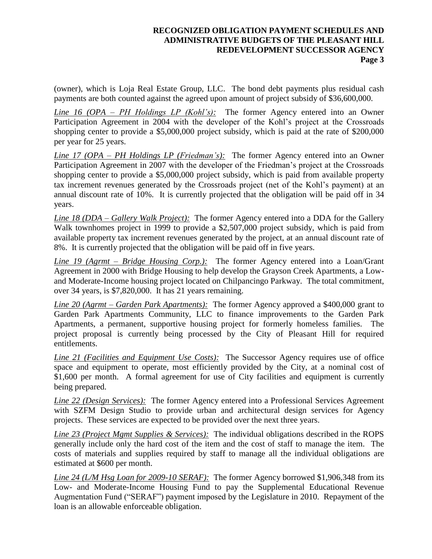(owner), which is Loja Real Estate Group, LLC. The bond debt payments plus residual cash payments are both counted against the agreed upon amount of project subsidy of \$36,600,000.

*Line 16 (OPA – PH Holdings LP (Kohl's):* The former Agency entered into an Owner Participation Agreement in 2004 with the developer of the Kohl's project at the Crossroads shopping center to provide a \$5,000,000 project subsidy, which is paid at the rate of \$200,000 per year for 25 years.

*Line 17 (OPA – PH Holdings LP (Friedman's):* The former Agency entered into an Owner Participation Agreement in 2007 with the developer of the Friedman's project at the Crossroads shopping center to provide a \$5,000,000 project subsidy, which is paid from available property tax increment revenues generated by the Crossroads project (net of the Kohl's payment) at an annual discount rate of 10%. It is currently projected that the obligation will be paid off in 34 years.

*Line 18 (DDA – Gallery Walk Project):* The former Agency entered into a DDA for the Gallery Walk townhomes project in 1999 to provide a \$2,507,000 project subsidy, which is paid from available property tax increment revenues generated by the project, at an annual discount rate of 8%. It is currently projected that the obligation will be paid off in five years.

*Line 19 (Agrmt – Bridge Housing Corp.):* The former Agency entered into a Loan/Grant Agreement in 2000 with Bridge Housing to help develop the Grayson Creek Apartments, a Lowand Moderate-Income housing project located on Chilpancingo Parkway. The total commitment, over 34 years, is \$7,820,000. It has 21 years remaining.

*Line 20 (Agrmt – Garden Park Apartments):* The former Agency approved a \$400,000 grant to Garden Park Apartments Community, LLC to finance improvements to the Garden Park Apartments, a permanent, supportive housing project for formerly homeless families. The project proposal is currently being processed by the City of Pleasant Hill for required entitlements.

*Line 21 (Facilities and Equipment Use Costs):* The Successor Agency requires use of office space and equipment to operate, most efficiently provided by the City, at a nominal cost of \$1,600 per month. A formal agreement for use of City facilities and equipment is currently being prepared.

*Line 22 (Design Services):* The former Agency entered into a Professional Services Agreement with SZFM Design Studio to provide urban and architectural design services for Agency projects. These services are expected to be provided over the next three years.

*Line 23 (Project Mgmt Supplies & Services):* The individual obligations described in the ROPS generally include only the hard cost of the item and the cost of staff to manage the item. The costs of materials and supplies required by staff to manage all the individual obligations are estimated at \$600 per month.

*Line 24 (L/M Hsg Loan for 2009-10 SERAF):* The former Agency borrowed \$1,906,348 from its Low- and Moderate-Income Housing Fund to pay the Supplemental Educational Revenue Augmentation Fund ("SERAF") payment imposed by the Legislature in 2010. Repayment of the loan is an allowable enforceable obligation.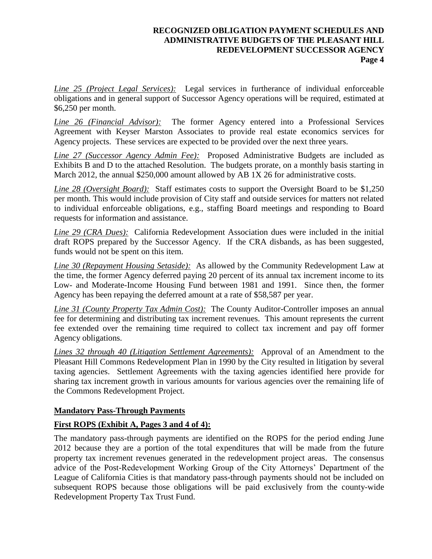*Line 25 (Project Legal Services):* Legal services in furtherance of individual enforceable obligations and in general support of Successor Agency operations will be required, estimated at \$6,250 per month.

*Line 26 (Financial Advisor):* The former Agency entered into a Professional Services Agreement with Keyser Marston Associates to provide real estate economics services for Agency projects. These services are expected to be provided over the next three years.

*Line 27 (Successor Agency Admin Fee):* Proposed Administrative Budgets are included as Exhibits B and D to the attached Resolution. The budgets prorate, on a monthly basis starting in March 2012, the annual \$250,000 amount allowed by AB 1X 26 for administrative costs.

*Line 28 (Oversight Board):* Staff estimates costs to support the Oversight Board to be \$1,250 per month. This would include provision of City staff and outside services for matters not related to individual enforceable obligations, e.g., staffing Board meetings and responding to Board requests for information and assistance.

*Line 29 (CRA Dues):* California Redevelopment Association dues were included in the initial draft ROPS prepared by the Successor Agency. If the CRA disbands, as has been suggested, funds would not be spent on this item.

*Line 30 (Repayment Housing Setaside):* As allowed by the Community Redevelopment Law at the time, the former Agency deferred paying 20 percent of its annual tax increment income to its Low- and Moderate-Income Housing Fund between 1981 and 1991. Since then, the former Agency has been repaying the deferred amount at a rate of \$58,587 per year.

*Line 31 (County Property Tax Admin Cost):* The County Auditor-Controller imposes an annual fee for determining and distributing tax increment revenues. This amount represents the current fee extended over the remaining time required to collect tax increment and pay off former Agency obligations.

*Lines 32 through 40 (Litigation Settlement Agreements):* Approval of an Amendment to the Pleasant Hill Commons Redevelopment Plan in 1990 by the City resulted in litigation by several taxing agencies. Settlement Agreements with the taxing agencies identified here provide for sharing tax increment growth in various amounts for various agencies over the remaining life of the Commons Redevelopment Project.

#### **Mandatory Pass-Through Payments**

#### **First ROPS (Exhibit A, Pages 3 and 4 of 4):**

The mandatory pass-through payments are identified on the ROPS for the period ending June 2012 because they are a portion of the total expenditures that will be made from the future property tax increment revenues generated in the redevelopment project areas. The consensus advice of the Post-Redevelopment Working Group of the City Attorneys' Department of the League of California Cities is that mandatory pass-through payments should not be included on subsequent ROPS because those obligations will be paid exclusively from the county-wide Redevelopment Property Tax Trust Fund.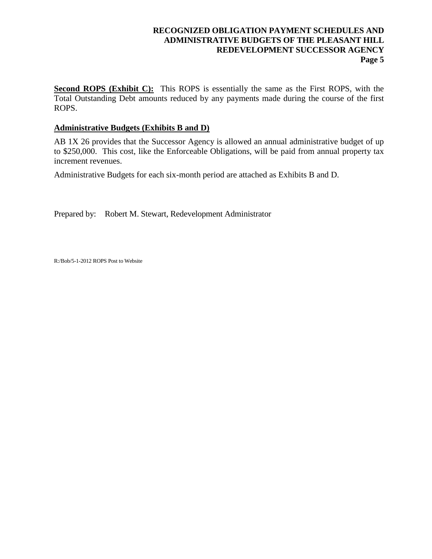**Second ROPS (Exhibit C):** This ROPS is essentially the same as the First ROPS, with the Total Outstanding Debt amounts reduced by any payments made during the course of the first ROPS.

#### **Administrative Budgets (Exhibits B and D)**

AB 1X 26 provides that the Successor Agency is allowed an annual administrative budget of up to \$250,000. This cost, like the Enforceable Obligations, will be paid from annual property tax increment revenues.

Administrative Budgets for each six-month period are attached as Exhibits B and D.

Prepared by: Robert M. Stewart, Redevelopment Administrator

R:/Bob/5-1-2012 ROPS Post to Website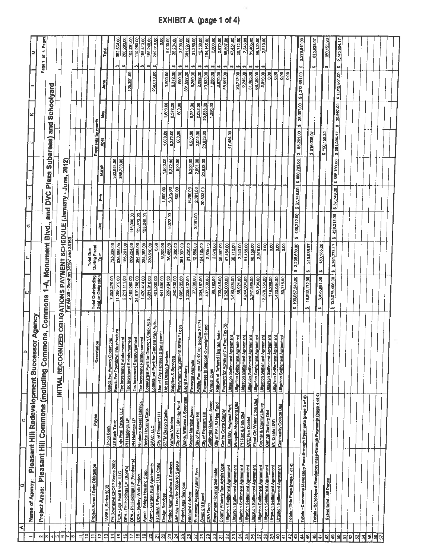|   |                                                 | 4 Pages<br>ð<br>Page 1                |                        |                                                 |                                     |   |    |                            |                                         |                     | Total<br>June                      |                                          |                               | 362,664.00<br>268,283.00<br>اھە<br>sh | 105,291.00<br>105,291.00    | 115,090.00<br>Ġ9                                                       | 156,413.00<br>49)                        | 156,246.00<br>69                      | 239,510.00<br>ø<br>239,810.00 | <b>S20</b><br>1,600.00           | 8,000.00<br>38,234.00<br>69<br>6,372.00                 | 3,000.00<br><b>SA</b><br>600.00 | 381,997.00<br>₩<br>381,997.00 | 31,250.00<br>⇔<br>6,250.00                     | 12,550,00<br>H)<br>2,092.00              | 104,165.00<br>w<br>20,833,00                   | 2,500.00<br>w<br>1,250.00                                   | 2,670.00<br>s9<br>2,670.00             | 58,597.00<br>٠Ø<br>58,597.00    | 47,454.00<br>49                 | 30.712.00<br>2,243.00<br>49<br>₩<br>2,243.00<br>30,712.00          | 81,465.00<br>₩<br>81,465.00       | 68,150.00<br>49<br>68,150.00                                | 2,919.00<br>钥<br>2,919.00           | 0.00                                           | 0.00      | 0.00                             | 8.00                                                           | s9<br>\$1,012,651.00 | 2,279,510.00                                                      | 315,938.97<br>s9   |                         | 150,155.20<br>es.              |           | 2,745,604.17<br>49<br>\$1,012,651.00 |         |   |          |    |
|---|-------------------------------------------------|---------------------------------------|------------------------|-------------------------------------------------|-------------------------------------|---|----|----------------------------|-----------------------------------------|---------------------|------------------------------------|------------------------------------------|-------------------------------|---------------------------------------|-----------------------------|------------------------------------------------------------------------|------------------------------------------|---------------------------------------|-------------------------------|----------------------------------|---------------------------------------------------------|---------------------------------|-------------------------------|------------------------------------------------|------------------------------------------|------------------------------------------------|-------------------------------------------------------------|----------------------------------------|---------------------------------|---------------------------------|--------------------------------------------------------------------|-----------------------------------|-------------------------------------------------------------|-------------------------------------|------------------------------------------------|-----------|----------------------------------|----------------------------------------------------------------|----------------------|-------------------------------------------------------------------|--------------------|-------------------------|--------------------------------|-----------|--------------------------------------|---------|---|----------|----|
|   |                                                 |                                       | Schoolyard<br>and<br>G |                                                 |                                     |   |    |                            | Payments by month                       | <b>May</b>          |                                    |                                          |                               |                                       |                             |                                                                        |                                          |                                       | 1,800.00<br>1,600.00          | 6,372.00<br>6,372.00             | 800.00<br>600.00                                        |                                 | 6,250.00<br>6,250.00          | 2,092.00<br>2,092.00<br>20,833.00              | 20,833.00<br>1,250.00                    |                                                |                                                             | 47,454.00                              |                                 |                                 |                                                                    |                                   |                                                             |                                     |                                                |           |                                  | 38,997.00<br>ø                                                 |                      |                                                                   |                    |                         | øj.                            | 38,997.00 |                                      |         |   |          |    |
|   |                                                 |                                       | Subareas)<br>Plaza     |                                                 | 2012)                               |   |    |                            |                                         | Āртi<br>March       |                                    | 362,664.00                               | 268,293.00                    |                                       |                             |                                                                        |                                          |                                       | 1,800.00                      | 6,372.00                         | ,600.00                                                 | 6,250.00                        | 2,091.00                      | 20,833.00                                      |                                          |                                                |                                                             |                                        |                                 |                                 |                                                                    |                                   |                                                             |                                     |                                                |           |                                  | \$85,201,00<br>\$ 669,703.00                                   |                      | 315,838.97<br>so/                                                 | \$150,155.20       |                         | \$551,295.17<br>\$ 668,703.00  |           |                                      |         |   |          |    |
|   |                                                 |                                       | DVC<br>and             |                                                 | (January - June,                    |   |    |                            |                                         | Feb                 |                                    |                                          |                               |                                       |                             |                                                                        |                                          |                                       | 1,800.00                      | 600.00<br>6,372.00               |                                                         | 6,250.00                        | 2,091.00                      | 20,833.00                                      |                                          |                                                |                                                             |                                        |                                 |                                 |                                                                    |                                   |                                                             |                                     |                                                |           |                                  | 8 37,746.00                                                    |                      |                                                                   |                    |                         | 436,212.00   \$ 37,746.00      |           |                                      |         |   |          |    |
|   |                                                 |                                       | Blvd.,                 |                                                 |                                     |   |    |                            | 틟                                       |                     |                                    |                                          |                               | 115,090.00                            | 156,413.00                  | 156,246.00                                                             |                                          |                                       | 6,372.00                      |                                  |                                                         |                                 | 2,091.00                      |                                                |                                          |                                                |                                                             |                                        |                                 |                                 |                                                                    |                                   |                                                             |                                     |                                                |           | 436,212.00<br>U)                 |                                                                |                      |                                                                   |                    |                         | ø                              |           |                                      |         |   |          |    |
|   |                                                 | Monument                              |                        |                                                 |                                     |   |    | Total Due<br>During Fiscal | 尊                                       |                     | 725,328.00                         | 536,586.00                               | 105,291.00                    | 209,254.00                            | 284,388.00                  | 284,083.00                                                             | 239,610.00                               | 0.00<br>8,000.00                      | 76,468.00                     | 3,000.00                         | 381,997.00                                              | 31,250.00                       | 12,550.00                     | 104,165.00                                     | 2,500.00                                 | 2,670.00                                       | 58,597.00                                                   | 47,454.00                              | 30,712.00<br>2,243.00           | 81,465.00                       | 68,150.00                                                          | 2,919.00                          | 0.00                                                        | 0.00                                | 88                                             | O.OO      | 3,298,680.00<br>uş.              |                                                                | 315,938.97<br>ŵ.     |                                                                   | 150,155.20<br>69   |                         | 125,076,406.00 \$ 3,764,774.17 |           |                                      |         |   |          |    |
|   |                                                 | $\blacktriangle$                      |                        |                                                 | Per AB 26 - Section 34167 and 34169 |   |    |                            | Total Outstanding<br>Debt or Obligation |                     | 7,253,279.00                       | 11,268,315.00                            | 2,211,111.00                  | 4,185,000.00                          | 24,819,288.00               | 1,420,414,00                                                           | 5,031,810,00<br>451,030.00               | 641,800.00                            | 229,404.00                    | 240,600.00                       | 1,909,985.00                                            | 3,235,402.00                    | 37,660.00                     | 8,354,167.00                                   | 497,500.00                               | 90,780.00                                      | 703,045.00                                                  | 5,282,000.00<br>1,490,604.00           | 38,921.00                       | 4,244,304.00                    | 2,347,989.00                                                       | 62,194.00                         | 12,378,754.00                                               | 118,238.00                          | 1,433,054.00                                   | 80,715.00 | \$100,057,243.00                 |                                                                | 16,592,172.00<br>s.  |                                                                   | 8,426,991.00<br>W) |                         | us)                            |           |                                      |         |   |          |    |
| Ω | Agency<br>Pleasant Hill Redevelopment Successor | mons, Commons                         |                        | INITIAL RECOGNIZED OBLIGATIONS PAYMENT SCHEDULE |                                     |   |    |                            | ption<br>Descri                         |                     | <b>Bonds For Agency Operations</b> | <b>Bonds For Downtown Infrastructure</b> | Tax Increment Reimbursement   | Tax Increment Reimbursement           | Tax Increment Reimburgement | Loan/Grant Pymt for Grayson Creek Apts.<br>Tax Increment Reimbursement | Loan/Grant Pyrrit for Gardent Park Apts. | Equipment<br>Use of City Facilities & | <b>Urban Dealgn Services</b>  | Supplies & Services              | <b>SERAF Loan</b><br>Repayment for 2009-10              | <b>Legal Services</b>           | Financial Analysis            | Admin Fee per AB 1X 26 Section 34171           | versight Board<br>Expanses to Support Or | Repyrint of Deferred Hsg<br><b>Annual Dues</b> | <b>CO Ripp Tax (5)</b><br>Set Aside<br>Payment for Admin of | Litigation Settlement Agreement        | Litigation Settlement Agreement | Lidgation Settlement Agreement  | Litigation Settlement Agreement                                    | Litigation Settlement Agreement   | Littgation Settlement Agreement<br>Litigation Settlement Ag | merries<br>Littgation Settlement Ag | reement<br>reement<br>Litigation Settlement Ag |           |                                  |                                                                |                      |                                                                   |                    |                         |                                |           |                                      |         |   |          |    |
| O |                                                 | Pleasant Hill Commons (including Com- |                        |                                                 |                                     |   |    |                            | Payee                                   |                     | <b>Union Bank</b>                  | US Bank Trust                            | Loja Real Estate, LLC         | PH Holdings LP<br>PH Holdings LP      | Neptune Assest Holdings     | <b>Bridge Housing Corp.</b>                                            | <b>GPAC, LLC</b>                         | City of Pleasant Hill                 | SZFM Design Studio            | Various Vendors                  | City of PH L/M Hag Fund                                 | Burke, Williams & Sorensen      | Keyser Marston Assoc          | City of Pleasant Hill<br>City of Pleasant Hill | California Redeval. Assoc.               | City of PH LiM Hsp Fund                        | <b>Contra Costa County</b>                                  | East Bay Regional Park                 | Mosquito Abatement Dist         | PH Rec & Park Dist              | CCC Fire District                                                  | <b>Flood Ctrl/Water Cons Dist</b> | County & County Library<br>Central Sanitary Dist            | Mt. Diablo USD                      | Community College Dist                         |           |                                  |                                                                |                      |                                                                   |                    |                         |                                |           |                                      |         |   |          |    |
| ø | Name of Agency:                                 | Project Areas:                        |                        |                                                 |                                     |   |    |                            | Project Name / Debt Obligation          | TARB's, Series 2002 | PH Downtown CFD#1 Series 2002      | DDA - Loja Real Estate, LLC              | OPA - PH Holdings LP (Kohl's) | OPA - PH Holdings LP (Friedmans)      | DDA - Gallery Walk Project  | Agrmt - Bridge Housing Corp.                                           | Agmt - Garden Park Apartments            | Facilities & Equipment Use Costs      | Design Services               | Project Mgmt Supplies & Services | IM Hsg Loan for 2009-10 SERAF<br>Project Legal Services | Financial Advisor               | Successor Agency Admin Fee    | Oversight Board                                | <b>CRA Dues</b>                          | Repayment Housing Set-aside                    | County Property Tax Admin Cost                              | <b>Litigation Settlement Agreement</b> | Littgation Settlement Agreement | Litigation Settlement Agreement | Littgatten Settlement Agreement<br>Littgation Settlement Agreement | Littgation Settlement Agreement   | Litigation Settlement Agreement                             | Littgation Settlement Agreement     | Litigation Settlement Agreement                |           | Totals - This Page (page 1 of 4) | Totals - Commons Mandatory Pass-through Payments (page 3 of 4) |                      | Totals - Schoolyard Mandatory Pass-through Payments (page 4 of 4) |                    | Grand total - All Pages |                                |           |                                      |         |   |          |    |
|   |                                                 | $\mathbf{\Omega}$<br>∣ఌ               |                        | ⊲∤სი                                            | 9                                   | œ | σļ | S<br>H                     | پ<br>پ                                  | 띅                   | 콜                                  | $\overline{5}$                           | 위                             | 17                                    | 위                           | ٥ļ                                                                     | ୍                                        | $\mathbb{Z}$<br>치                     | ଅ                             | $\mathbb{Z}$                     | 뵎                                                       | 11                              | 의                             | $\mathbb{R}$                                   | 웨                                        | g                                              | 회                                                           | S                                      | ြို့                            | నే<br>]8                        | g                                                                  |                                   | 8<br>5                                                      | 8                                   | ş                                              | 4         | থ<br>GÞ                          | $\vert \vec{z} \vert$                                          | 4                    | 위                                                                 | 47                 | 윆                       | 위<br>윖                         |           |                                      | ଖ<br> 3 | 공 | <b>S</b> | \$ |

 $\overline{\phantom{a}}$ 

EXHIBIT A (page 1 of 4)

Ö.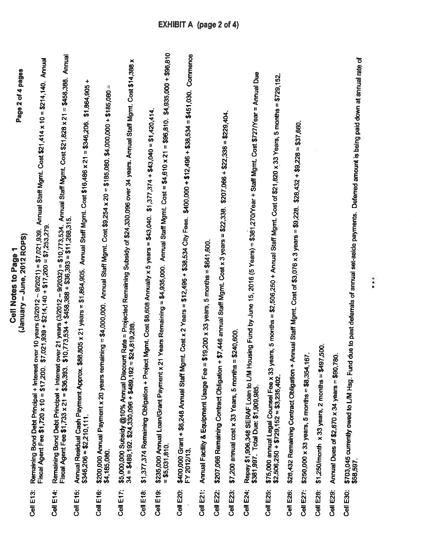|           | Page 2 of 4 pages<br>(January – June, 2012 ROPS)<br><b>Cell Notes to Page</b>                                                                                                                                                                             |
|-----------|-----------------------------------------------------------------------------------------------------------------------------------------------------------------------------------------------------------------------------------------------------------|
| Cell E13: | over 10 years (3/2012 – 9/2021) = \$7,021,939. Annual Staff Mgmt. Cost \$21,414 x 10 = \$214,140. Annual<br>$$7,021,939 + $214,140 + $17,200 = $7,253,279$<br>Remaining Bond Debt Principal + Interest<br>Fiscal Agent Fee \$1,720 x 10 = \$17,200.       |
| Cell E14: | Annual Staff Mgmt. Cost \$21,828 x 21 = \$458,388. Annual<br>Remaining Bond Debt Principal + Interest over 21 years (3/2012 – 9/2032) = \$10,773,534. Av<br>Fiscal Agent Fee \$1,733 x 21 = \$36,393. \$10,773,534 + \$458,388 + \$36,393 = \$11,268,315. |
| Cell E15: | +<br>\$1,864,905<br>\$88.805 x 21 years = \$1,864,905. Annual Staff Mgmt. Cost \$16,486 x 21 = \$346,206.<br>Annual Residual Cash Payment Approx.<br>$$346,206 = $2,210,111$ .                                                                            |
| Cell E16: | \$200,000 Annual Payment x 20 years remaining = \$4,000,000.  Annual Staff Mgmt. Cost \$9,254 x 20 = \$185,080. \$4,000,000 + \$185,080 =                                                                                                                 |
| Cell E17: | \$5,000,000 Subsidy @10% Annual Discount Rate = Projected Remaining Subsidy of \$24,330,096 over 34 years. Annual Staff Mgmt. Cost \$14,388 x                                                                                                             |
| Cell E18: | \$1,377,374 Remaining Obligation + Project Mgmt. Cost \$8,608 Annually x 5 years = \$43.040. \$1,377,374 + \$43,040 = \$1,420,414.                                                                                                                        |
| Cell E19: | \$4,935,000 + \$96,810<br>$= $96,810.$<br>21 Years Remaining = \$4,935,000. Annual Staff Mgmt. Cost = \$4,610 x 21<br>\$235,000 Annual Loan/Grant Payment x<br>$= $5,031,810.$                                                                            |
| Cell E20: | $$400,000 + $12,496 + $38,534 = $451,030$ . Commence<br>\$400,000 Grant + \$6,248 Annual Staff Mgmt. Cost x 2 Years = \$12,496 + \$38,534 City Fees.<br>FY 2012/13                                                                                        |
| Cell E21: | $= $19,200 \times 33$ years, 5 months $= $641,600$ .<br>Annual Facility & Equipment Usage Fee                                                                                                                                                             |
| Cell E22: | + \$7,446 annual Staff Mgmt: Cost x 3 years = \$22,338. \$207,066 + \$22,338 = \$229,404.<br>\$207,066 Remaining Contract Obligation                                                                                                                      |
| Cell E23: | $= $240,600$<br>\$7,200 annual cost x 33 Years, 5 months                                                                                                                                                                                                  |
| Cell E24: | Repay \$1,906,348 SERAF Loan to L/M Housing Fund by June 15, 2016 (5 Years) = \$381,270/Year + Staff Mgmt. Cost \$727/Year = Annual Due                                                                                                                   |
| Cell E25: | years, 5 months = \$2,506,250 + Annual Staff Mgmt. Cost of \$21,820 x 33 Years, 5 months = \$729,152.<br>\$75,000 annual Legal Counsel Fee x 33<br>$$2,506,250 + $729,152 = $3,235,402.$                                                                  |
| Cell E26: | \$28,432 Remaining Contract Obligation + Annual Staff Mgmt. Cost of \$3,076 x 3 years = \$9,228. \$28,432 + \$9,228 = \$37,660.                                                                                                                           |
| Cell E27: | $$250,000 \times 33 \text{ years}, 5 \text{ months} = $8,354,167.$                                                                                                                                                                                        |
| Cell E28: | 197,500.<br>$$1,250/m$ onth x 33 years, 2 months = $$4$                                                                                                                                                                                                   |
| Cell E29: | ,780.<br>Annual Dues of \$2,670 x 34 years = \$90                                                                                                                                                                                                         |
| Cell E30: | \$703,045 currently owed to L/M Hsg. Fund due to past deferrals of annual set-aside payments.  Deferred amount is being paid down at annual rate of                                                                                                       |

 $\begin{array}{c} \bullet \\ \bullet \end{array}$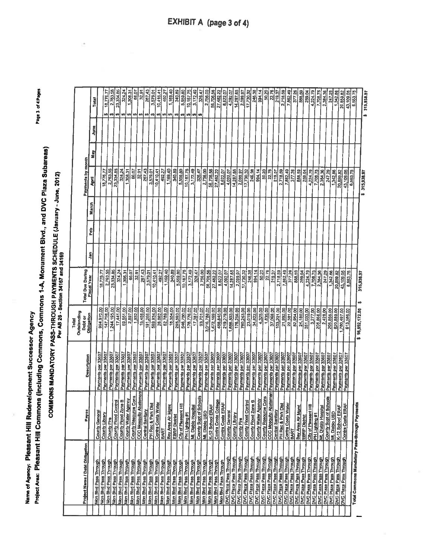Name of Agency: Pleasant Hill Redevelopment Successor Agency

Project Area: Pleasant Hill Commons (including Commons, Commons 1-A, Monument Blvd., and DVC Plaza Subareas)

Page 3 of 4 Pages

| i<br> <br> <br> | 2012                                                 |
|-----------------|------------------------------------------------------|
|                 |                                                      |
|                 |                                                      |
|                 | SCHEDULE (Ja.<br>Per AB 26 - Section 34167 and 34169 |
|                 | <b>MORTPACK PASSET ANDIONAL PASSES</b>               |
|                 |                                                      |
|                 |                                                      |
|                 |                                                      |
|                 |                                                      |
|                 |                                                      |
|                 |                                                      |

|                                                  |                                           |                                  | Outstanding<br>Total  |                         |   |     |       |                     |         |      |     |              |
|--------------------------------------------------|-------------------------------------------|----------------------------------|-----------------------|-------------------------|---|-----|-------|---------------------|---------|------|-----|--------------|
| Project Name / Debt Obligation                   | Payee                                     | Description                      | Obligation<br>Debt or | <b>Total Due During</b> |   |     |       | Payments by month   |         |      |     |              |
|                                                  |                                           |                                  |                       | <b>Fiscal Year</b>      | Ş | Feb | March | April               | i.<br>E | June |     | Total        |
| Mon Blvd Pass Through                            | County General                            | Payments per 33607               | 994,970.00            | 18,776.77               |   |     |       |                     |         |      |     |              |
| Mon Blvd Pass Through                            | County Library                            | Payments per 33607               | 147,796.00            | 2,763.55                |   |     |       | 18,776,77           |         |      | w   | 18, 776. 77  |
| Mon Blvd Pass Through                            | County Fire                               | Payments per 33607               | 1,244,195.00          | 23,334.85               |   |     |       | 2,763.55            |         |      |     | 2,763.55     |
| Mon Blvd Pass Through                            | <b>County Flood Control</b>               | Payments per 33607               | 17,441.00             | 324.24                  |   |     |       | 23,334.85           |         |      | w   | 23,334.85    |
| Mon Blyd Pass Through                            | ø<br>County Flood Zone                    | Payments per 33607               | 69,551.00             | 1,308.31                |   |     |       | 324.24              |         |      |     | 324.24       |
| Mon Blvd Pass Through                            | County Water Agency                       | Payments per 33607               |                       |                         |   |     |       | 1,308.31            |         |      | ø   | 1,308.31     |
| Mon Blvd Pass Through                            | County Resource Cons                      | Payments per 33607               | 2,897.00              | 66.07                   |   |     |       | 66.07               |         |      | ₩   |              |
| Mon Blvd Pass Through                            | <b>CCC Mosquito Abat</b>                  | <b>lement</b> Payments per 33607 | 1,932.00              | 32.91                   |   |     |       | 32.91               |         |      |     | 66.07        |
| Mon Blvd Pass Through                            | <b>Central Sanilary</b>                   |                                  | 15,456.00             | 267.43                  |   |     |       | 267.43              |         |      | 69  | 32.91        |
| Mon Blvd Pass Through                            | PH Rec & Park Dist                        | Payments per 33607               | 191,266.00            | 3,579.01                |   |     |       | 3,579.01            |         |      | 69  | 267.43       |
| Mon Blvd Pass Through                            | Contra Costa Water                        | Payments per 33607               | 569,934.00            | 10,410,41               |   |     |       | 10,410.41           |         |      | tĄ. | 3,579.01     |
| Mon Blvd Pass Through                            |                                           | Payments per 33607               | 26,082.00             | 492.27                  |   |     |       |                     |         |      | ۰Ą  | 10,410,41    |
| Mon Blvd Pass Through                            | <b>BART</b>                               | Payments per 33607               | 62,789.00             | 1,169.40                |   |     |       | 492.27              |         |      | ø   | 492.27       |
|                                                  | Bay Area Air Mgmt                         | Payments per 33607               | 18,354.00             | 340.89                  |   |     |       | 1,169.40            |         |      | 69  | 1,169.40     |
| Mon Blvd Pass Through                            | <b>EBRP Distrist</b>                      | Payments per 33607               | 285,593.00            | 5,559.80                |   |     |       | 340.89              |         |      | w   | 340.89       |
| Mon Blvd Pass Through                            | City of Pleasant Hill                     | Payments per 33607               | 546,750.00            | 10,167.75               |   |     |       | 5,559.80            |         |      |     | 5,559.80     |
| Mon Blvd Pass Through                            | PH Lighting #1                            | Payments per 33607               | 176,776.00            |                         |   |     |       | 10,167.75           |         |      | ಀ   | 10,167.75    |
| Mon Blvd Pass Through                            | Mt. Diablo Hospital                       | Payments per 33607               |                       | 3,172.49                |   |     |       | 3,172.49            |         |      |     | 3,172.49     |
| Mon Blvd Pass Through                            | ais<br>County Supt of Sch                 | Payments per 33607               | 17,387.00             | 326.47                  |   |     |       | 326.47              |         |      |     |              |
| Mon Bivd Pass Through                            | ML Diablo USD                             |                                  | 93,701.00             | 2,756.00                |   |     |       | 2,756.00            |         |      |     | 326.47       |
| Mon Blvd Pass Through                            | K-12 School ERAF                          | Payments per 33607               | 3,016,788.00          | 56,706.56               |   |     |       | 56,706.56           |         |      |     | 2,756.00     |
| Mon Blvd Pass Through                            | Contra Costa Colleg                       | Payments per 33607               | 1,472,169.00          | 27,482.22               |   |     |       | 27,482.22           |         |      |     | 56,706.55    |
| Mon Blvd Pass Through                            | 회                                         | Payments per 33607               | 458,845.00            | 8,622.07                |   |     |       | 8,622.07            |         |      |     | 27,482.22    |
| DVC Plaza Pass Through                           | Contra Costa ERAF                         | Payments per 33607               | 219,279.00            | 4,092.07                |   |     |       | 4,092.07            |         |      |     | 8,622.07     |
| DVC Plaza Pass Through                           | <b>County General</b>                     | Payments per 33607               | 1,656,503.00          | 14,287.65               |   |     |       |                     |         |      |     | 4,092.07     |
| DVC Plaza Pass Through                           | County Library                            | Payments per 33607               | 176,256.00            | 2,099.97                |   |     |       | 14,287.65           |         |      |     | 14,287.65    |
|                                                  | County Fire                               | Payments per 33607               | 760,243.00            | 17,730.32               |   |     |       | 2,099.97            |         |      |     | 2,099.97     |
| DVC Plaza Pass Through                           | <b>County Flood Control</b>               | Payments per 33607               | 23,019.00             | 246.38                  |   |     |       | 17,730.32           |         |      |     | 17,730.32    |
| DVC Plaza Pass Through                           | County Flood Zone B                       | Payments per 33607               | 34,822.00             | 994.14                  |   |     |       | 246.38              |         |      |     | 245.38       |
| DVC Plaza Pass Through                           | County Water Agency                       | Payments per 33607               | 4,325.00              | 50.20                   |   |     |       | 994.14              |         |      |     | 994.14       |
| DVC Plaza Pass Through                           | <b>County Resource Cons</b>               | Payments per 33607               | 1,835.00              | 22.76                   |   |     |       | 50.20               |         |      |     | 50.20        |
| DVC Plaza Pass Through                           | CCC Mosquito Abatement Payments per 33607 |                                  | 37,068.00             | 219.37                  |   |     |       | 22.76               |         |      |     | 22.76        |
| DVC Plaza Pass Through                           | <b>Central Sanitary</b>                   | Payments per 33607               | 103,201.00            | 2,718.59                |   |     |       | 219.37              |         |      |     | 219.37       |
| DVC Plaza Pass Through                           | PH Rec & Park Dist                        | Payments per 33607               | 21,992.00             | 7,862.49                |   |     |       | 2.718.59            |         |      |     | 2,718.59     |
| DVC Plaza Pass Through                           | Contra Costa Water                        | Payments per 33607               | 22,381.00             | 377.26                  |   |     |       | 7,862.49            |         |      |     | 7,862.49     |
| <b>DVC Plaza Pass Through</b>                    | <b>BART</b>                               | Payments par 33607               | 82,954.00             | 888.59                  |   |     |       | $3\overline{17.26}$ |         |      |     | 377.26       |
| DVC Plaza Pass Through<br>DVC Plaza Pass Through | Bay Area Air Mgmt                         | Payments per 33607               | 24,180.00             | 259.04                  |   |     |       | 888.59              |         |      |     | 888.59       |
|                                                  | <b>EBRP District</b>                      | Payments per 33607               | 351,033.00            | 4,224.79                |   |     |       | 259,04              |         |      |     | 259.04       |
| DVC Plaza Pass Through<br>DVC Plaza Pass Through | City of Pleasant Hill                     | Payments per 33607               | 3,277.00              | 7,708.75                |   |     |       | 4,224.79            |         |      |     | 4,224.79     |
| <b>DVC Plaza Pass Through</b>                    | PH Lighting #1                            | Payments per 33607               | 205,866.00            | 2,384.36                |   |     |       | 7,708.75            |         |      |     | 7,708.75     |
| DVC Plaze Pass Through                           | ML Diablo Hospital                        | Payments per 33607               | 2,428.00              | 247.29                  |   |     |       | 2,384.36            |         |      |     | 2,384.36     |
| DVC Plaza Pass Through                           | 뮑<br>County Supt of Scho                  | Payments per 33607               | 205,866.00            | 1,342.86                |   |     |       | 24729               |         |      |     | 247.29       |
|                                                  | Mr. Diablo USD                            | Payments per 33607               | 820,889.00            | 20,859.82               |   |     |       | 1,342.86            |         |      |     | 1,342.86     |
| DVC Plaza Pass Through                           | K-12 School ERAF                          | Payments per 33607               | 1,780,497.00          | 43,109.05               |   |     |       | 20,859.82           |         |      |     | 20,859.82    |
| DVC Plaza Pass Through                           | Contra Costa ERAF                         | Payments per 33607               | 613,586.00            | 6,553.75                |   |     |       | 43,109.05           |         |      |     | 43,109.05    |
|                                                  |                                           |                                  |                       |                         |   |     |       | 6,553.75            |         |      |     | 6,553.75     |
| Total Commons Mandatory Pass-through Payments    |                                           |                                  | \$16,592,172.00       | 315,938.97              |   |     |       |                     |         |      |     |              |
|                                                  |                                           |                                  |                       |                         |   |     |       | \$315,938.97        |         |      |     | \$315,938.97 |
|                                                  |                                           |                                  |                       |                         |   |     |       |                     |         |      |     |              |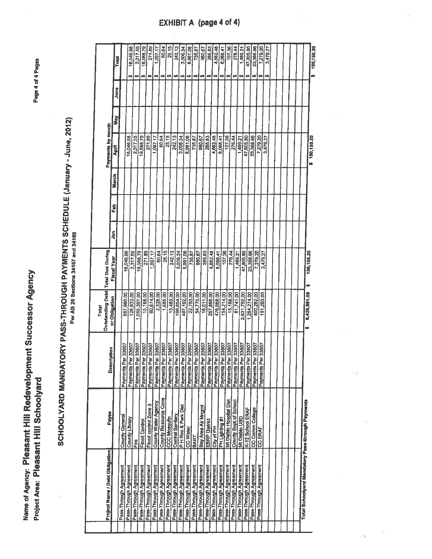Name of Agency: Pleasant Hill Redevelopment Successor Agency Project Area: Pleasant Hill Schoolyard

Page 4 of 4 Pages

# SCHOOLYARD MANDATORY PASS-THROUGH PAYMENTS SCHEDULE (January - June, 2012)

|                                                  |                         |                                          | Total                               |             |   |   |              |                          |     |      |                 |
|--------------------------------------------------|-------------------------|------------------------------------------|-------------------------------------|-------------|---|---|--------------|--------------------------|-----|------|-----------------|
| <b>Project Name / Debt Obligation</b>            | Payee                   |                                          | Outstanding Debt   Total Due During |             |   |   |              | <b>Payments by month</b> |     |      |                 |
|                                                  |                         | <b>Description</b>                       | or Obligation                       | Fiscal Year | ş | å | <b>March</b> | April                    | May | June |                 |
| Pass-Through Agreement                           | County General          |                                          |                                     |             |   |   |              |                          |     |      | Total           |
| Pass-Through Agreement                           | County Library          | Payments Per 33607                       | 867,980.00                          | 16,046.98   |   |   |              | 16,046.98                |     |      |                 |
| Pass-Through Agreement                           | Fire                    | Payments Per 33607                       | 128,933.00                          | 2,317,55    |   |   |              | 2,317.55                 |     |      | 16,046.98<br>U) |
| Pass-Through Agreement                           |                         | Payments Per 33607                       | 085,397.00                          | 19,588.79   |   |   |              | 19,588.79                |     |      | 2,317.55<br>ŧ9  |
|                                                  | Flood Control           | Payments Per 33607                       | 15,168.00                           | 271.89      |   |   |              |                          |     |      | 19,588.79<br>49 |
| Pass-Through Agreement                           | Flood control Zone 3    | Payments Per 33607                       | 60,674.00                           | ,097.17     |   |   |              | 271.89                   |     |      | 271.89<br>份     |
| Pass-Through Agreement                           | County Water Agency     | Payments Per 33607                       | 2,528.00                            | 60.64       |   |   |              | 1,097.17                 |     |      | ,097.17         |
| Pass-Through Agreement                           | County Resource Cons    |                                          | 1,685.00                            | 25.15       |   |   |              | 60.64                    |     |      | 60.64<br>份      |
| Pass-Through Agreement                           | CCC Mosquito            | Payments Per 33607<br>Payments Per 33607 | 13,483.00                           |             |   |   |              | 25.15                    |     |      | 25.15<br>₩      |
| Pass-Through Agreement                           | Central Sanitary        | Payments Per 33607                       | 66,854.00                           | 242.13      |   |   |              | 242.13                   |     |      | 242.13<br>69    |
| Pass-Through Agreement                           | P H Rec & Park Dist     | Payments Per 33607                       | 497,192.00                          | 3,006.34    |   |   |              | 3,006.34                 |     |      | 3.006.34<br>U)  |
| Pass-Through Agreement                           | <b>CC Water</b>         | Payments Per 33607                       |                                     | 8,961.06    |   |   |              | 8,961.06                 |     |      | 8,961.06<br>မာ  |
| Pass-Through Agreement                           | BART                    | Payments Per 33607                       | 22,753.00                           | 735.87      |   |   |              | 735.87                   |     |      | 735.87<br>69    |
| Pass-Through Agreement                           | Bay Area Air Mngmt      | Payments Per 33607                       | 54,775.00                           | 980.67      |   |   |              | 980.67                   |     |      | 980.67<br>w     |
| Pass-Through Agreement                           | <b>EBRP District</b>    |                                          | 16,011.00                           | 285.83      |   |   |              | 285.83                   |     |      |                 |
| Pass-Through Agreement                           | City of PH              | Payments Per 33607                       | 257,866.00                          | 4,662.48    |   |   |              | 4,662.48                 |     |      | 285.83<br>w     |
| Pass-Through Agreement                           |                         | Payments Per 33607                       | 476,968.00                          | 8,068.41    |   |   |              | 8,068.41                 |     |      | 4,662.48<br>₩   |
|                                                  | PH Lighting #1          | Payments Per 33607                       | 154,214.00                          | 107.36      |   |   |              | 107.36                   |     |      | 8,068.41<br>ŧ,  |
| Pass-Through Agreement                           | Mt Diablo Hospital Dist | Payments Per 33607                       | 15,168.00                           | 276.44      |   |   |              |                          |     |      | 107.36<br>69    |
| Pass-Through Agreement                           | County Supt of School   | Payments Per 33607                       | 81,741.00                           | 1,489.21    |   |   |              | 276.44                   |     |      | 276.44<br>69    |
| Pass-Through Agreement                           | Mt Diablo USD           | Payments Per 33607                       | 2,631,752.00                        | 47,805.80   |   |   |              | 1,489.21                 |     |      | 1,489.21<br>₩   |
| Pass-Through Agreement                           | K-12 School ERAF        | Payments Per 33607                       | 1,284,274.00                        | 23,366.96   |   |   |              | 47,805.80                |     |      | 47,805.80<br>မာ |
| Pass-Through Agreement                           | CC Comm College         | Payments Per 33607                       | 400,282.00                          | 7,279.20    |   |   |              | 23,366.96                |     |      | 23,366.96<br>v  |
| Pass-Through Agreement                           | CC ERAF                 | Payments Per 33607                       | 191,293.00                          |             |   |   |              | 7,279.20                 |     |      | 7,279.20<br>₩   |
|                                                  |                         |                                          |                                     | 3,479.27    |   |   |              | 3,479.27                 |     |      | 3,479.27<br>မာ  |
|                                                  |                         |                                          |                                     |             |   |   |              |                          |     |      |                 |
|                                                  |                         |                                          |                                     |             |   |   |              |                          |     |      |                 |
|                                                  |                         |                                          |                                     |             |   |   |              |                          |     |      |                 |
|                                                  |                         |                                          |                                     |             |   |   |              |                          |     |      |                 |
|                                                  |                         |                                          |                                     |             |   |   |              |                          |     |      |                 |
|                                                  |                         |                                          |                                     |             |   |   |              |                          |     |      |                 |
| Total Schoolyard Mandatory Pass-through Payments |                         |                                          | 8,426,991.00                        | 150,155.20  |   |   |              |                          |     |      |                 |
|                                                  |                         |                                          |                                     |             |   |   |              | \$150,155.20             |     |      | 150, 155.20     |

ł,

 $\bar{\mathcal{A}}$ 

**EXHIBIT A (page 4 of 4)**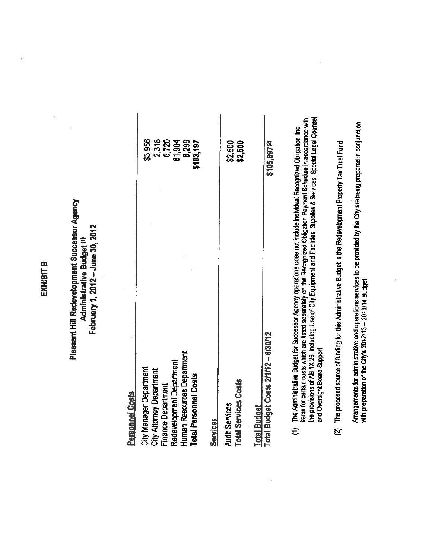## EXHIBIT B

## Pleasant Hill Redevelopment Successor Agency February 1, 2012 - June 30, 2012 **Administrative Budget (1)**

| City Manager Department<br>City Attorney Department   | \$3,956                  |
|-------------------------------------------------------|--------------------------|
| Redevelopment Department<br><b>Finance Department</b> | 2,318<br>6,720<br>81,904 |
| Human Resources Department<br>Total Personnel Costs   | 8,299<br>\$103,197       |
| <b>Services</b>                                       |                          |
| Total Services Costs<br><b>Audit Services</b>         | \$2,500<br>\$2,500       |

|                     | \$105,697(2)                        |  |
|---------------------|-------------------------------------|--|
| <b>Total Budget</b> | Total Budget Costs 2/1/12 - 6/30/12 |  |

- The Administrative Budget for Successor Agency operations does not include individual Recognized Obligation line<br>items for certain costs which are listed separately on the Recognized Obligation Payment Schedule in accordan  $\equiv$
- The proposed source of funding for this Administrative Budget is the Redevelopment Property Tax Trust Fund.  $\overline{a}$

Arrangements for administrative and operations services to be provided by the City are being prepared in conjunction<br>with preparation of the City's 2012/13 - 2013/14 Budget.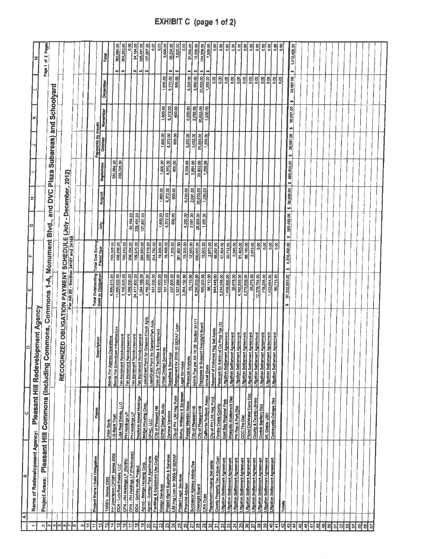|                             | æ                                                                |                                                    |                                                                    |                                         |                                        |                   |              |                  |                                 |                      |                        |                           |                     |
|-----------------------------|------------------------------------------------------------------|----------------------------------------------------|--------------------------------------------------------------------|-----------------------------------------|----------------------------------------|-------------------|--------------|------------------|---------------------------------|----------------------|------------------------|---------------------------|---------------------|
|                             | Name of Redevelopment Agency:                                    |                                                    |                                                                    | шI                                      |                                        |                   |              |                  |                                 |                      |                        |                           |                     |
| $\sim$                      |                                                                  |                                                    | Pleasant Hill Redevelopment Agency                                 |                                         |                                        |                   |              |                  |                                 |                      |                        |                           |                     |
| ø                           | Project Areas:                                                   |                                                    | Pleasant Hill Commons (including Commons, Commons                  | $\overline{A}$                          | Monument Blvd.,                        |                   | and DVC      |                  |                                 |                      |                        | N<br>ð<br>Page 1          | Pages               |
| 4                           |                                                                  |                                                    |                                                                    |                                         |                                        |                   |              | Plaza Subareas)  |                                 | and Schoolyard       |                        |                           |                     |
| ю<br>'ա∦                    |                                                                  |                                                    | <b>IZED OBLIGATION PAYMENT SCHEDULE (July</b><br><b>RECOGN</b>     |                                         |                                        |                   |              |                  |                                 |                      |                        |                           |                     |
|                             |                                                                  |                                                    |                                                                    |                                         |                                        |                   | - December,  | 2012)            |                                 |                      |                        |                           |                     |
| lœ.                         |                                                                  |                                                    |                                                                    |                                         |                                        |                   |              |                  |                                 |                      |                        |                           |                     |
| 이                           |                                                                  |                                                    |                                                                    |                                         |                                        |                   |              |                  |                                 |                      |                        |                           |                     |
| ¦e<br>$\ddot{}$             |                                                                  |                                                    |                                                                    |                                         |                                        |                   |              |                  |                                 |                      |                        |                           |                     |
| 12                          | Project Name / Debt Obligation                                   | Payee                                              | escription                                                         | Total Outstanding<br>Debt or Obligation | Total Due During<br><b>Fiscal Year</b> |                   |              |                  | Payments by month               |                      |                        |                           |                     |
| 쀠                           |                                                                  |                                                    |                                                                    |                                         |                                        | yluL              | August       | <b>September</b> | October                         | November             | December               | Total                     |                     |
| $\overline{\mathbf{A}}$     | PH Downlown CFD#1 Series 2002<br>TARB's Series 2002              | <b>Union Bank</b>                                  | Bonds For Agency Operations                                        | 6,890,615.00                            | 725,328.00                             |                   |              |                  |                                 |                      |                        |                           |                     |
| 쀠                           |                                                                  | <b>US Bank Trust</b>                               | <b>hum infrastructure</b><br><b>Bonds For Downt</b>                | 11,000,022.00                           | 536,588.00                             |                   |              | 362,884.00       |                                 |                      |                        | 362,664.00<br>us'         |                     |
| 9                           | DDA - Loja Real Estate, LLC                                      | Loja Real Estate, LLC                              | Tax Increment Reimbursement                                        | 2,105,820.00                            | 105,243.00                             |                   |              | 268,293.00       |                                 |                      |                        | 268,283.00<br>str.        |                     |
| 는                           | OPA - PH Holdings LP (Friedmans)<br>OPA - PH Holdings LP (Koh's) | PH Holdings LP                                     | Tax Increment Reimburgement                                        | 4,069,990.00                            | 209,254.00                             | 94,164.00         |              |                  |                                 |                      |                        |                           | 0.00                |
| 유                           | DDA - Gallery Walk Project                                       | EH Holdings LP                                     | Tax Increment Reimbursement                                        | 24,417,800.00                           | 729,979.00                             | 328,491.00        |              |                  |                                 |                      |                        | 94,164.00<br>w)           |                     |
| 은                           | Agrmt - Bridge Housing Corp.                                     | Neptune Assest Holdings                            | Tax Increment Reimburgement                                        | 1,264,168.00                            | 284,083.00                             | 127,837.00        |              |                  |                                 |                      |                        | 328,491.00<br>w           |                     |
| g                           | Agrmt - Garden Park Apartments                                   | <b>Bridge Housing Corp.</b><br>GPAC, LLC           | Loan/Grant Pymt for Grayson Creek Apts                             | 4,792,200.00                            | 239,610.00                             |                   |              |                  |                                 |                      |                        | 127,837.00<br>49          |                     |
| $\mathbf{z}$                | Facilities & Equipment Use Costs                                 | City of Pleasant Hill                              | LoanGrant Pymt for Gardent Park Apts.                              | 451,030.00                              | 244,782.00                             |                   |              |                  |                                 |                      |                        |                           | 8.00                |
| Ŋ                           | Design Services                                                  | SZFM Design Studio                                 | Use of City Facilities & Equipment                                 | 633,600.00                              | 19,200.00                              | 1,600.00          | 1,600.00     | 1,600.00         | 1,600.00                        |                      |                        |                           | 0.00                |
| ଅ                           | Project Mgmt Supplies & Services                                 | Various Vendors                                    | <b>Urban Design Services</b>                                       | 191,170.00                              | 76,468.00                              | 6,372.00          | 6,372.00     | 6,372.00         | 6,372.00                        | 1,600.00<br>6,372.00 | 1,800.00               |                           | 9,600.00            |
| 24                          | IM Hsg Loan for 2009-10 SERAF                                    | City of PH LM Heg Fund                             | Supples & Services                                                 | 237,600.00                              | 7,200.00                               | 600.00            | 600.00       | 600.00           | 600.00                          |                      | 6,372.00               | 38,234.00<br>49           |                     |
| 뚸                           | Project Legal Services                                           |                                                    | 19-10 SERAF Loan<br>Repayment for 200                              | 1,527,988.00                            | 381,997.00                             |                   |              |                  |                                 | 600.00               | 600.00                 | $^{40}$                   | 3,600.00            |
| ଞ୍ଜ                         | <b>Financial Advisor</b>                                         | Burke, Williams & Sorersen<br>Keyser Marston Assoc | Legal Services                                                     | 3,204,152.00                            | 75,000.00                              | 5,250.00          | 6,250.00     | 6,250.00         | 6,250.00                        |                      |                        |                           | 0.00                |
| 27                          | Successor Agency Admin Fee                                       |                                                    | <b>Financial Analysis</b>                                          | 25,110.00                               | 12,550.00                              | 2,091.00          | 2,091.00     | 2,091.00         |                                 | 6,250.00             | 6,250.00               | 37,500.00<br>w            |                     |
| 뙩                           | Oversight Board                                                  | City of Pleasent Hill                              | 1X26 Section 34171<br>Admin Fee per AB                             | 8,250,000.00                            | 250,000.00                             | 20,833.00         | 20,833.00    | 20,833.00        | 2,092.00<br>20,833.00           | 2,092.00             | 2,092.00               | <b>SP</b>                 | 12,550.00           |
| 28                          | <b>CRA Dues</b>                                                  | City of Pleasant Hill                              | Expenses to Support Oversight Board                                | 495,000,00                              | 15,000.00                              | 1,250.00          | 1,250.00     | 1,250.00         | 1,250.00                        | 20,833.00            | 20,833.00              | 124,998.00<br>49          |                     |
| 읭                           | Repayment Housing Set-aside                                      | California Redevel. Assoc.                         | <b>Annual Dues</b>                                                 | 88,110.00                               | 2,670.00                               |                   |              |                  |                                 | 1,250.00             | 1,250.00               |                           | 7,500.00            |
| 5                           | County Property Tax Admin Cost                                   | City of PH LM Hsg Fund                             | Repymt of Deferred Hsg Set Aside                                   | 644,448.00                              | 58,597.00                              |                   |              |                  |                                 |                      | 8g                     |                           | 8                   |
| $\overline{3}$              | Litigation Settlement Agreement                                  | East Bay Regional Park<br>Contra Costa County      | Payment for Admin of Co Prop Tax (5)                               | 5,234,546.00                            | 47,454.00                              |                   |              |                  |                                 |                      | $\frac{80}{2}$         |                           | $\frac{8}{2}$       |
| S                           | <b>Litigation Settlement Agreement</b>                           | Mosquito Abatement Diat                            | Littgation Settlement Agreement                                    | 1,459,892.00                            | 30,712.00                              |                   |              |                  |                                 |                      | 8                      |                           | $\frac{8}{9}$       |
| रू                          | Liftgatton Settlement Agreement                                  | PH Rec & Park Dist                                 | Litigation Settlement Agreement                                    | 36,678.00                               | 2,243.00                               |                   |              |                  |                                 |                      | 0.00                   |                           | 0.00                |
| 35                          | Litigation Settlement Agreement                                  | CCC Fire Dist                                      | Litigation Settlement Agreement                                    | 4,162,839.00                            | 81,465.00                              |                   |              |                  |                                 |                      | $\frac{80}{20}$        |                           | $rac{8}{5}$         |
| 옭                           | Migation Settlement Agreement                                    | <b>Flood Cirl/Water Cons Dist</b>                  | Litigation Settlement Agreement<br>Litigation Settlement Agreement | 2,279,839.00                            | 68,150.00                              |                   |              |                  |                                 |                      | 0.00<br>$\frac{8}{10}$ |                           | 8                   |
| 57                          | Litigation Settlement Agreement                                  | County & County Library                            | Litigation Settlement Agreement                                    | 59,275.00                               | 2,919.00                               |                   |              |                  |                                 |                      | $\frac{50}{2}$         |                           | 80                  |
| 晑                           | Litigation Settlement Agreement                                  | Central Sentary Dist                               | Litigation Settlement Agreement                                    | 12,378,754.00                           | $\frac{8}{2}$                          |                   |              |                  |                                 |                      | 0.00                   |                           | Sc<br>$\frac{8}{5}$ |
| 8                           | Utigation Settlement Agreement                                   | Mt. Diablo USD                                     | Litigation Settlement Agreement                                    | 118,238.00                              | 0.00                                   |                   |              |                  |                                 |                      | 0.00                   |                           |                     |
| $\hat{\boldsymbol{\theta}}$ | Litigation Settlement Agreement                                  | <b>Community College Dist</b>                      | Lidgation Settlement Agreement                                     | 1,433,054.00                            | $rac{1}{2}$                            |                   |              |                  |                                 |                      | 0.00                   |                           | 8.00                |
| ÷                           |                                                                  |                                                    |                                                                    | 80,715.00                               | 8,00                                   |                   |              |                  |                                 |                      | 0.00                   |                           | 8<br>0.00           |
| 42                          | Totals                                                           |                                                    |                                                                    | 97,532,653,00<br><b>SO</b>              | 4,206,490.00<br>49                     |                   |              |                  |                                 |                      |                        |                           |                     |
| 4<br>\$                     |                                                                  |                                                    |                                                                    |                                         |                                        | 589.488.00<br>są. | \$ 38,996.00 | \$ 669,953.00    | $38,997.00$ $\frac{1}{5}$<br>49 | W<br>38,997.00       | 38,997.00              | 1,415,428.00<br><b>VD</b> |                     |
| $\frac{1}{4}$               |                                                                  |                                                    |                                                                    |                                         |                                        |                   |              |                  |                                 |                      |                        |                           |                     |
| $\frac{1}{2}$               |                                                                  |                                                    |                                                                    |                                         |                                        |                   |              |                  |                                 |                      |                        |                           |                     |
| 냨                           |                                                                  |                                                    |                                                                    |                                         |                                        |                   |              |                  |                                 |                      |                        |                           |                     |
| 뮈                           |                                                                  |                                                    |                                                                    |                                         |                                        |                   |              |                  |                                 |                      |                        |                           |                     |
| ş                           |                                                                  |                                                    |                                                                    |                                         |                                        |                   |              |                  |                                 |                      |                        |                           |                     |
| $\overline{\mathbf{S}}$     |                                                                  |                                                    |                                                                    |                                         |                                        |                   |              |                  |                                 |                      |                        |                           |                     |
| ្ត្                         |                                                                  |                                                    |                                                                    |                                         |                                        |                   |              |                  |                                 |                      |                        |                           |                     |
| B)                          |                                                                  |                                                    |                                                                    |                                         |                                        |                   |              |                  |                                 |                      |                        |                           |                     |
| S,                          |                                                                  |                                                    |                                                                    |                                         |                                        |                   |              |                  |                                 |                      |                        |                           |                     |
| Ŋ                           |                                                                  |                                                    |                                                                    |                                         |                                        |                   |              |                  |                                 |                      |                        |                           |                     |
| $\mathbf{3}$                |                                                                  |                                                    |                                                                    |                                         |                                        |                   |              |                  |                                 |                      |                        |                           |                     |
| 띖                           |                                                                  |                                                    |                                                                    |                                         |                                        |                   |              |                  |                                 |                      |                        |                           |                     |
| 5                           |                                                                  |                                                    |                                                                    |                                         |                                        |                   |              |                  |                                 |                      |                        |                           |                     |
|                             |                                                                  |                                                    |                                                                    |                                         |                                        |                   |              |                  |                                 |                      |                        |                           |                     |
|                             |                                                                  |                                                    |                                                                    |                                         |                                        |                   |              |                  |                                 |                      |                        |                           |                     |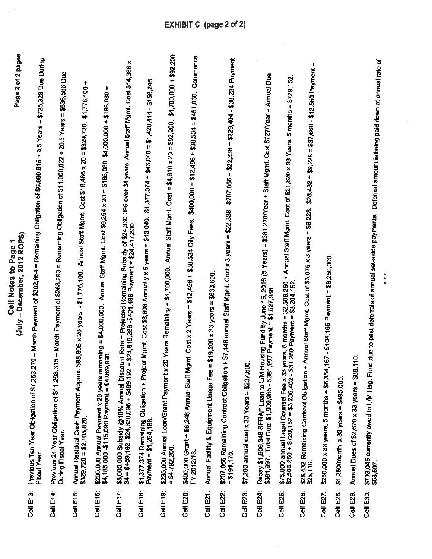|           | Page 2 of 2 pages<br>(July - December, 2012 ROPS)<br>Cell Notes to Page                                                                                                                                                                               |
|-----------|-------------------------------------------------------------------------------------------------------------------------------------------------------------------------------------------------------------------------------------------------------|
| Cell E13: | Previous Ten Year Obligation of \$7,253,279 -- March Payment of \$362,664 = Remaining Obligation of \$6,890,615 + 9.5 Years = \$725,328 Due During                                                                                                    |
| Cell E14: | = Remaining Obligation of \$11,000,022 + 20.5 Years = \$536,586 Due<br>15 - March Payment of \$268,293<br>Previous 21 Year Obligation of \$11,268,3<br>During Fiscal Year.                                                                            |
| Cell E15: | +<br>\$1,776,100<br>Annual Staff Mgmt. Cost \$16,486 x 20 = \$329,720.<br>$$88,805 \times 20 \text{ years} = $1,776,100.$<br>Annual Residual Cash Payment Approx.<br>$$329,720 = $2,105,820$                                                          |
| Cell E16: | Ħ<br>Annual Staff Mgmt. Cost \$9,254 x 20 = \$185,080. \$4,000,000 + \$185,080<br>$= $4,000,000.$<br>\$200,000 Annual Payment x 20 years remaining<br>\$4,185,080 -\$115,090 Payment = \$4,069,990.                                                   |
| Cell E17: | \$5,000,000 Subsidy @10% Annual Discount Rate = Projected Remaining Subsidy of \$24,330,096 over 34 years. Annual Staff Mgmt. Cost \$14,388 x<br>34 = \$489,192. \$24,330,096 + \$489,192 = \$24,819,288 -\$401,488 Payment = \$24,417,800            |
| Cell E18: | $$1,377,374 + $43,040 = $1,420,414 - $156,246$<br>ct Mgmt. Cost \$8,608 Annually x 5 years = \$43,040.<br>\$1,377,374 Remaining Obligation + Proje<br>Payment = \$1,264,168.                                                                          |
| Cell E19: | \$4,700,000 + \$92,200<br>20 Years Remaining = \$4,700,000. Annual Staff Mgmt. Cost = \$4,610 x 20 = \$92,200.<br>\$235,000 Annual Loan/Grant Payment x<br>$= $4,792,200.$                                                                            |
| Cell E20: | Commence<br>$$400,000 + $12,496 + $38,534 = $451,030.$<br>\$400,000 Grant + \$6,248 Annual Staff Mgmt. Cost x 2 Years = \$12,496 + \$38,534 City Fees.<br>FY 2012/13.                                                                                 |
| Cell E21: | $$19,200 \times 33 \text{ years} = $633,600.$<br>Annual Facility & Equipment Usage Fee =                                                                                                                                                              |
| Cell E22: | $$207,066 + $22,338 = $229,404 - $38,234$ Payment<br>+ \$7,446 annual Staff Mgmt. Cost x 3 years = \$22,338.<br>\$207,066 Remaining Contract Obligation<br>$= $191,170$                                                                               |
| Cell E23: | g<br>\$7,200 annual cost x 33 Years = \$237,60                                                                                                                                                                                                        |
| Cell E24: | lousing Fund by June 15, 2016 (5 Years) = \$381,270/Year + Staff Mgmt. Cost \$727/Year = Annual Due<br>\$1,527,988<br>997 Payment =<br>Repay \$1,906,348 SERAF Loan to L/M H<br>\$381,997. Total Due: \$1,909,985 - \$381,                            |
| Cell E25: | 5 months = $$729,152$ .<br>5 months = \$2,506,250 + Annual Staff Mgmt. Cost of \$21,820 x 33 Years,<br>\$75,000 annual Legal Counsel Fee x 33 years, 5 months = \$2,506,250<br>\$2,506,250 + \$729,152 = \$3,235,402 - \$31,250 Payment = \$3,204,152 |
| Cell E26: | $$28,432 + $9,228 = $37,660 - $12,550$ Payment =<br>Annual Staff Mgmt. Cost of \$3,076 x 3 years = \$9,228.<br>\$28,432 Remaining Contract Obligation<br>\$25,110.                                                                                    |
| Cell E27: | $167 - $104,165$ Payment = \$8,250,000.<br>$$250,000 \times 33 \text{ years}, 5 \text{ months} = $8,354,$                                                                                                                                             |
| Cell E28: | $$1,250/m$ cth $\times 33$ years = \$495,000.                                                                                                                                                                                                         |
| Cell E29: | in,<br>Annual Dues of \$2,670 x 33 years = \$88,                                                                                                                                                                                                      |
| Cell E30: | d due to past deferrals of annual set-aside payments. Deferred amount is being paid down at annual rate of<br>\$703,045 currently owed to L/M Hsg. Fun<br>\$58,597                                                                                    |
|           | $\ddot{\phantom{1}}$                                                                                                                                                                                                                                  |

 $\epsilon^2$